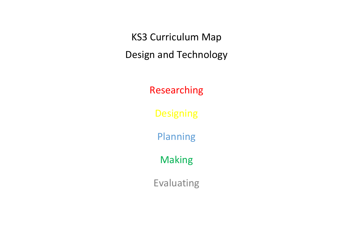KS3 Curriculum Map Design and Technology

Researching

Designing

Planning

Making

Evaluating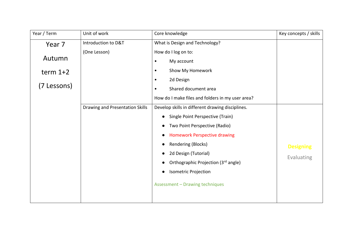| Year / Term | Unit of work                    | Core knowledge                                   | Key concepts / skills |
|-------------|---------------------------------|--------------------------------------------------|-----------------------|
| Year 7      | Introduction to D&T             | What is Design and Technology?                   |                       |
|             | (One Lesson)                    | How do I log on to:                              |                       |
| Autumn      |                                 | My account<br>$\bullet$                          |                       |
| term $1+2$  |                                 | Show My Homework<br>٠                            |                       |
|             |                                 | 2d Design<br>$\bullet$                           |                       |
| (7 Lessons) |                                 | Shared document area<br>٠                        |                       |
|             |                                 | How do I make files and folders in my user area? |                       |
|             | Drawing and Presentation Skills | Develop skills in different drawing disciplines. |                       |
|             |                                 | Single Point Perspective (Train)                 |                       |
|             |                                 | Two Point Perspective (Radio)                    |                       |
|             |                                 | <b>Homework Perspective drawing</b>              |                       |
|             |                                 | Rendering (Blocks)                               | <b>Designing</b>      |
|             |                                 | 2d Design (Tutorial)                             | Evaluating            |
|             |                                 | Orthographic Projection (3rd angle)              |                       |
|             |                                 | <b>Isometric Projection</b>                      |                       |
|             |                                 | Assessment - Drawing techniques                  |                       |
|             |                                 |                                                  |                       |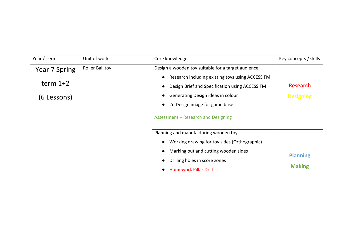| Year / Term                                | Unit of work    | Core knowledge                                                                                                                                                                                                                                                         | Key concepts / skills               |
|--------------------------------------------|-----------------|------------------------------------------------------------------------------------------------------------------------------------------------------------------------------------------------------------------------------------------------------------------------|-------------------------------------|
| Year 7 Spring<br>term $1+2$<br>(6 Lessons) | Roller Ball toy | Design a wooden toy suitable for a target audience.<br>Research including existing toys using ACCESS FM<br>Design Brief and Specification using ACCESS FM<br>Generating Design ideas in colour<br>2d Design image for game base<br>Assessment - Research and Designing | <b>Research</b><br><b>Designing</b> |
|                                            |                 | Planning and manufacturing wooden toys.<br>Working drawing for toy sides (Orthographic)<br>Marking out and cutting wooden sides<br>Drilling holes in score zones<br><b>Homework Pillar Drill</b>                                                                       | <b>Planning</b><br><b>Making</b>    |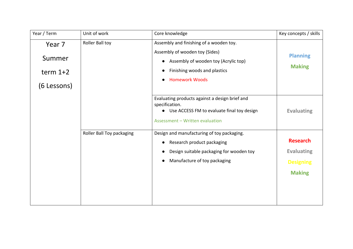| Year / Term                                   | Unit of work              | Core knowledge                                                                                                                                                             | Key concepts / skills                                                     |
|-----------------------------------------------|---------------------------|----------------------------------------------------------------------------------------------------------------------------------------------------------------------------|---------------------------------------------------------------------------|
| Year 7<br>Summer<br>term $1+2$<br>(6 Lessons) | Roller Ball toy           | Assembly and finishing of a wooden toy.<br>Assembly of wooden toy (Sides)<br>Assembly of wooden toy (Acrylic top)<br>Finishing woods and plastics<br><b>Homework Woods</b> | <b>Planning</b><br><b>Making</b>                                          |
|                                               |                           | Evaluating products against a design brief and<br>specification.<br>Use ACCESS FM to evaluate final toy design<br>$\bullet$<br>Assessment - Written evaluation             | <b>Evaluating</b>                                                         |
|                                               | Roller Ball Toy packaging | Design and manufacturing of toy packaging.<br>Research product packaging<br>Design suitable packaging for wooden toy<br>Manufacture of toy packaging                       | <b>Research</b><br><b>Evaluating</b><br><b>Designing</b><br><b>Making</b> |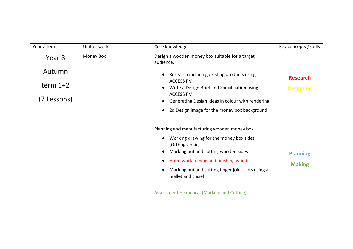| Year / Term                                   | Unit of work | Core knowledge                                                                                                                                                                                                                                                                                                       | Key concepts / skills               |
|-----------------------------------------------|--------------|----------------------------------------------------------------------------------------------------------------------------------------------------------------------------------------------------------------------------------------------------------------------------------------------------------------------|-------------------------------------|
| Year 8<br>Autumn<br>term $1+2$<br>(7 Lessons) | Money Box    | Design a wooden money box suitable for a target<br>audience.<br>Research including existing products using<br><b>ACCESS FM</b><br>Write a Design Brief and Specification using<br><b>ACCESS FM</b><br>Generating Design ideas in colour with rendering<br>2d Design image for the money box background               | <b>Research</b><br><b>Designing</b> |
|                                               |              | Planning and manufacturing wooden money box.<br>Working drawing for the money box sides<br>(Orthographic)<br>Marking out and cutting wooden sides<br>Homework Joining and finishing woods<br>Marking out and cutting finger joint slots using a<br>mallet and chisel<br>Assessment - Practical (Marking and Cutting) | <b>Planning</b><br><b>Making</b>    |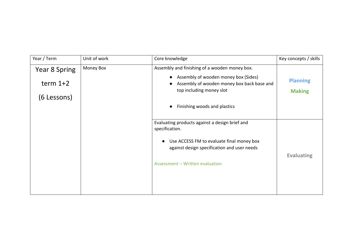| Year / Term   | Unit of work | Core knowledge                                                                                                 | Key concepts / skills            |
|---------------|--------------|----------------------------------------------------------------------------------------------------------------|----------------------------------|
| Year 8 Spring | Money Box    | Assembly and finishing of a wooden money box.                                                                  |                                  |
| term $1+2$    |              | Assembly of wooden money box (Sides)<br>Assembly of wooden money box back base and<br>top including money slot | <b>Planning</b><br><b>Making</b> |
| (6 Lessons)   |              |                                                                                                                |                                  |
|               |              | Finishing woods and plastics                                                                                   |                                  |
|               |              |                                                                                                                |                                  |
|               |              | Evaluating products against a design brief and<br>specification.                                               |                                  |
|               |              | Use ACCESS FM to evaluate final money box<br>against design specification and user needs                       |                                  |
|               |              |                                                                                                                | <b>Evaluating</b>                |
|               |              | Assessment - Written evaluation                                                                                |                                  |
|               |              |                                                                                                                |                                  |
|               |              |                                                                                                                |                                  |
|               |              |                                                                                                                |                                  |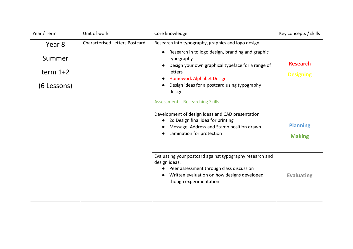| Year / Term                                                                            | Unit of work                                                                                                                                                                                                                                                                       | Core knowledge                                                                                                                                                                                 | Key concepts / skills            |
|----------------------------------------------------------------------------------------|------------------------------------------------------------------------------------------------------------------------------------------------------------------------------------------------------------------------------------------------------------------------------------|------------------------------------------------------------------------------------------------------------------------------------------------------------------------------------------------|----------------------------------|
| <b>Characterised Letters Postcard</b><br>Year 8<br>Summer<br>term $1+2$<br>(6 Lessons) | Research into typography, graphics and logo design.<br>Research in to logo design, branding and graphic<br>typography<br>Design your own graphical typeface for a range of<br>letters<br><b>Homework Alphabet Design</b><br>Design ideas for a postcard using typography<br>design | <b>Research</b><br><b>Designing</b>                                                                                                                                                            |                                  |
|                                                                                        |                                                                                                                                                                                                                                                                                    | <b>Assessment - Researching Skills</b>                                                                                                                                                         |                                  |
|                                                                                        |                                                                                                                                                                                                                                                                                    | Development of design ideas and CAD presentation<br>2d Design final idea for printing<br>Message, Address and Stamp position drawn<br>Lamination for protection                                | <b>Planning</b><br><b>Making</b> |
|                                                                                        |                                                                                                                                                                                                                                                                                    | Evaluating your postcard against typography research and<br>design ideas.<br>Peer assessment through class discussion<br>Written evaluation on how designs developed<br>though experimentation | <b>Evaluating</b>                |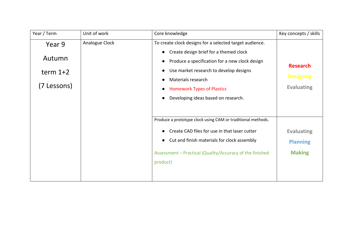| Year / Term                                   | Unit of work   | Core knowledge                                                                                                                                                                                                                                                                                  | Key concepts / skills                                    |
|-----------------------------------------------|----------------|-------------------------------------------------------------------------------------------------------------------------------------------------------------------------------------------------------------------------------------------------------------------------------------------------|----------------------------------------------------------|
| Year 9<br>Autumn<br>term $1+2$<br>(7 Lessons) | Analogue Clock | To create clock designs for a selected target audience.<br>Create design brief for a themed clock<br>Produce a specification for a new clock design<br>Use market research to develop designs<br>Materials research<br><b>Homework Types of Plastics</b><br>Developing ideas based on research. | <b>Research</b><br><b>Designing</b><br><b>Evaluating</b> |
|                                               |                | Produce a prototype clock using CAM or traditional methods.<br>Create CAD files for use in that laser cutter<br>Cut and finish materials for clock assembly<br>Assessment - Practical (Quality/Accuracy of the finished<br>product)                                                             | <b>Evaluating</b><br><b>Planning</b><br><b>Making</b>    |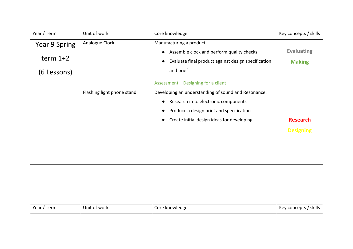| Year / Term          | Unit of work               | Core knowledge                                      | Key concepts / skills |
|----------------------|----------------------------|-----------------------------------------------------|-----------------------|
| <b>Year 9 Spring</b> | Analogue Clock             | Manufacturing a product                             |                       |
|                      |                            | Assemble clock and perform quality checks           | <b>Evaluating</b>     |
| term $1+2$           |                            | Evaluate final product against design specification | <b>Making</b>         |
| (6 Lessons)          |                            | and brief                                           |                       |
|                      |                            | Assessment - Designing for a client                 |                       |
|                      | Flashing light phone stand | Developing an understanding of sound and Resonance. |                       |
|                      |                            | Research in to electronic components                |                       |
|                      |                            | Produce a design brief and specification            |                       |
|                      |                            | Create initial design ideas for developing          | <b>Research</b>       |
|                      |                            |                                                     | <b>Designing</b>      |
|                      |                            |                                                     |                       |
|                      |                            |                                                     |                       |
|                      |                            |                                                     |                       |

| Year,<br>. .<br>tern.<br>∵of work<br>Unit | vledge<br>- -<br>1 <i>,</i><br>COL.<br>N | skills<br>Kev<br>epus<br>лю<br>. |
|-------------------------------------------|------------------------------------------|----------------------------------|
|-------------------------------------------|------------------------------------------|----------------------------------|